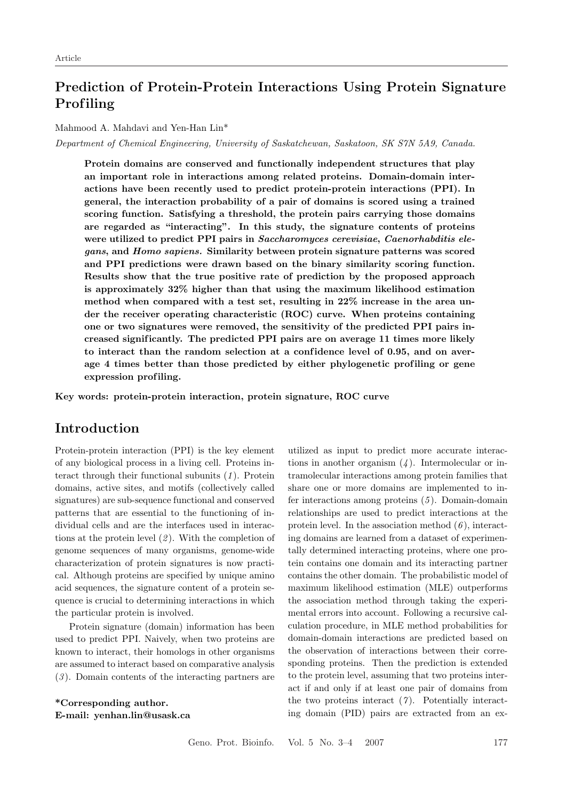# **Prediction of Protein-Protein Interactions Using Protein Signature Prof iling**

#### Mahmood A. Mahdavi and Yen-Han Lin\*

*Department of Chemical Engineering, University of Saskatchewan, Saskatoon, SK S7N 5A9, Canada.*

**Protein domains are conserved and functionally independent structures that play an important role in interactions among related proteins. Domain-domain interactions have been recently used to predict protein-protein interactions (PPI). In general, the interaction probability of a pair of domains is scored using a trained scoring function. Satisfying a threshold, the protein pairs carrying those domains are regarded as "interacting". In this study, the signature contents of proteins were utilized to predict PPI pairs in** *Saccharomyces cerevisiae***,** *Caenorhabditis elegans***, and** *Homo sapiens.* **Similarity between protein signature patterns was scored and PPI predictions were drawn based on the binary similarity scoring function. Results show that the true positive rate of prediction by the proposed approach is approximately 32% higher than that using the maximum likelihood estimation method when compared with a test set, resulting in 22% increase in the area under the receiver operating characteristic (ROC) curve. When proteins containing one or two signatures were removed, the sensitivity of the predicted PPI pairs increased signif icantly. The predicted PPI pairs are on average 11 times more likely** to interact than the random selection at a confidence level of 0.95, and on aver**age 4 times better than those predicted by either phylogenetic prof iling or gene expression prof iling.**

**Key words: protein-protein interaction, protein signature, ROC curve**

## **Introduction**

Protein-protein interaction (PPI) is the key element of any biological process in a living cell. Proteins interact through their functional subunits (*1* ). Protein domains, active sites, and motifs (collectively called signatures) are sub-sequence functional and conserved patterns that are essential to the functioning of individual cells and are the interfaces used in interactions at the protein level (*2* ). With the completion of genome sequences of many organisms, genome-wide characterization of protein signatures is now practical. Although proteins are specified by unique amino acid sequences, the signature content of a protein sequence is crucial to determining interactions in which the particular protein is involved.

Protein signature (domain) information has been used to predict PPI. Naively, when two proteins are known to interact, their homologs in other organisms are assumed to interact based on comparative analysis (*3* ). Domain contents of the interacting partners are

**\*Corresponding author. E-mail: yenhan.lin@usask.ca**

utilized as input to predict more accurate interactions in another organism (*4* ). Intermolecular or intramolecular interactions among protein families that share one or more domains are implemented to infer interactions among proteins (*5* ). Domain-domain relationships are used to predict interactions at the protein level. In the association method (*6* ), interacting domains are learned from a dataset of experimentally determined interacting proteins, where one protein contains one domain and its interacting partner contains the other domain. The probabilistic model of maximum likelihood estimation (MLE) outperforms the association method through taking the experimental errors into account. Following a recursive calculation procedure, in MLE method probabilities for domain-domain interactions are predicted based on the observation of interactions between their corresponding proteins. Then the prediction is extended to the protein level, assuming that two proteins interact if and only if at least one pair of domains from the two proteins interact (*7* ). Potentially interacting domain (PID) pairs are extracted from an ex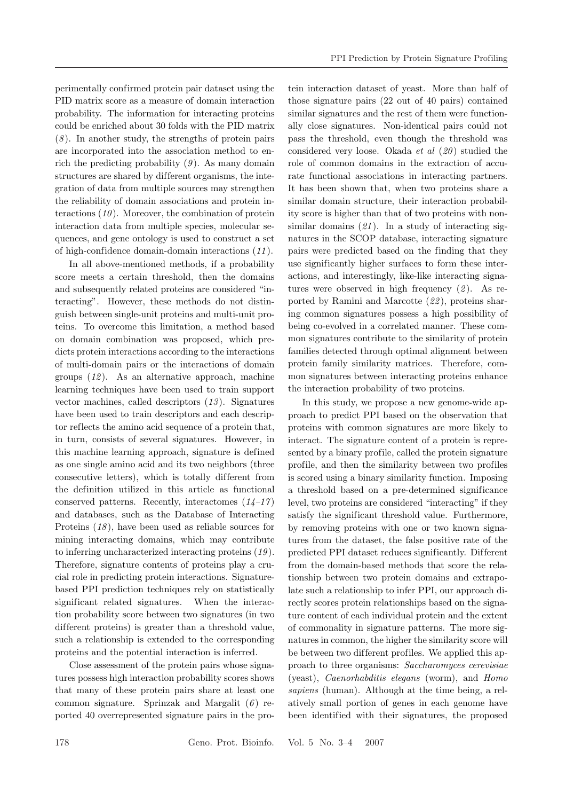perimentally confirmed protein pair dataset using the PID matrix score as a measure of domain interaction probability. The information for interacting proteins could be enriched about 30 folds with the PID matrix (*8* ). In another study, the strengths of protein pairs are incorporated into the association method to enrich the predicting probability  $(g)$ . As many domain structures are shared by different organisms, the integration of data from multiple sources may strengthen the reliability of domain associations and protein interactions (*10* ). Moreover, the combination of protein interaction data from multiple species, molecular sequences, and gene ontology is used to construct a set of high-confidence domain-domain interactions (*11* ).

In all above-mentioned methods, if a probability score meets a certain threshold, then the domains and subsequently related proteins are considered "interacting". However, these methods do not distinguish between single-unit proteins and multi-unit proteins. To overcome this limitation, a method based on domain combination was proposed, which predicts protein interactions according to the interactions of multi-domain pairs or the interactions of domain groups (*12* ). As an alternative approach, machine learning techniques have been used to train support vector machines, called descriptors (*13* ). Signatures have been used to train descriptors and each descriptor reflects the amino acid sequence of a protein that, in turn, consists of several signatures. However, in this machine learning approach, signature is defined as one single amino acid and its two neighbors (three consecutive letters), which is totally dif ferent from the definition utilized in this article as functional conserved patterns. Recently, interactomes (*14–17* ) and databases, such as the Database of Interacting Proteins (*18* ), have been used as reliable sources for mining interacting domains, which may contribute to inferring uncharacterized interacting proteins (*19* ). Therefore, signature contents of proteins play a crucial role in predicting protein interactions. Signaturebased PPI prediction techniques rely on statistically significant related signatures. When the interaction probability score between two signatures (in two different proteins) is greater than a threshold value, such a relationship is extended to the corresponding proteins and the potential interaction is inferred.

Close assessment of the protein pairs whose signatures possess high interaction probability scores shows that many of these protein pairs share at least one common signature. Sprinzak and Margalit (*6* ) reported 40 overrepresented signature pairs in the pro-

tein interaction dataset of yeast. More than half of those signature pairs (22 out of 40 pairs) contained similar signatures and the rest of them were functionally close signatures. Non-identical pairs could not pass the threshold, even though the threshold was considered very loose. Okada *et al* (*20* ) studied the role of common domains in the extraction of accurate functional associations in interacting partners. It has been shown that, when two proteins share a similar domain structure, their interaction probability score is higher than that of two proteins with nonsimilar domains  $(21)$ . In a study of interacting signatures in the SCOP database, interacting signature pairs were predicted based on the finding that they use significantly higher surfaces to form these interactions, and interestingly, like-like interacting signatures were observed in high frequency (*2* ). As reported by Ramini and Marcotte (*22* ), proteins sharing common signatures possess a high possibility of being co-evolved in a correlated manner. These common signatures contribute to the similarity of protein families detected through optimal alignment between protein family similarity matrices. Therefore, common signatures between interacting proteins enhance the interaction probability of two proteins.

In this study, we propose a new genome-wide approach to predict PPI based on the observation that proteins with common signatures are more likely to interact. The signature content of a protein is represented by a binary profile, called the protein signature profile, and then the similarity between two profiles is scored using a binary similarity function. Imposing a threshold based on a pre-determined significance level, two proteins are considered "interacting" if they satisfy the significant threshold value. Furthermore, by removing proteins with one or two known signatures from the dataset, the false positive rate of the predicted PPI dataset reduces significantly. Different from the domain-based methods that score the relationship between two protein domains and extrapolate such a relationship to infer PPI, our approach directly scores protein relationships based on the signature content of each individual protein and the extent of commonality in signature patterns. The more signatures in common, the higher the similarity score will be between two different profiles. We applied this approach to three organisms: *Saccharomyces cerevisiae* (yeast), *Caenorhabditis elegans* (worm), and *Homo sapiens* (human). Although at the time being, a relatively small portion of genes in each genome have been identified with their signatures, the proposed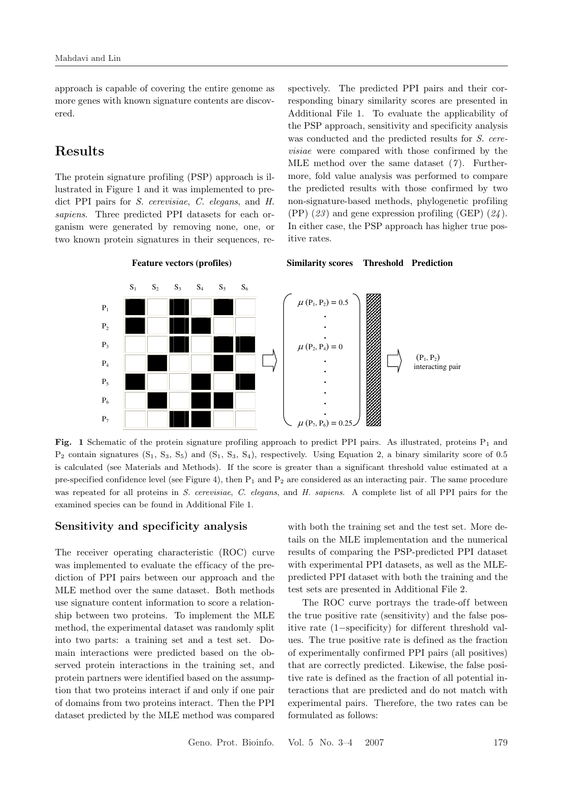approach is capable of covering the entire genome as more genes with known signature contents are discovered.

## **Results**

The protein signature profiling (PSP) approach is illustrated in Figure 1 and it was implemented to predict PPI pairs for *S. cerevisiae*, *C. elegans*, and *H. sapiens*. Three predicted PPI datasets for each organism were generated by removing none, one, or two known protein signatures in their sequences, respectively. The predicted PPI pairs and their corresponding binary similarity scores are presented in Additional File 1. To evaluate the applicability of the PSP approach, sensitivity and specificity analysis was conducted and the predicted results for *S. cerevisiae* were compared with those confirmed by the MLE method over the same dataset (*7* ). Furthermore, fold value analysis was performed to compare the predicted results with those confirmed by two non-signature-based methods, phylogenetic profiling (PP) (*23* ) and gene expression profiling (GEP) (*24* ). In either case, the PSP approach has higher true positive rates.





Fig. 1 Schematic of the protein signature profiling approach to predict PPI pairs. As illustrated, proteins P<sub>1</sub> and  $P_2$  contain signatures  $(S_1, S_3, S_5)$  and  $(S_1, S_3, S_4)$ , respectively. Using Equation 2, a binary similarity score of 0.5 is calculated (see Materials and Methods). If the score is greater than a significant threshold value estimated at a pre-specified confidence level (see Figure 4), then  $P_1$  and  $P_2$  are considered as an interacting pair. The same procedure was repeated for all proteins in *S. cerevisiae*, *C. elegans*, and *H. sapiens*. A complete list of all PPI pairs for the examined species can be found in Additional File 1.

### **Sensitivity and specif icity analysis**

The receiver operating characteristic (ROC) curve was implemented to evaluate the efficacy of the prediction of PPI pairs between our approach and the MLE method over the same dataset. Both methods use signature content information to score a relationship between two proteins. To implement the MLE method, the experimental dataset was randomly split into two parts: a training set and a test set. Domain interactions were predicted based on the observed protein interactions in the training set, and protein partners were identified based on the assumption that two proteins interact if and only if one pair of domains from two proteins interact. Then the PPI dataset predicted by the MLE method was compared

with both the training set and the test set. More details on the MLE implementation and the numerical results of comparing the PSP-predicted PPI dataset with experimental PPI datasets, as well as the MLEpredicted PPI dataset with both the training and the test sets are presented in Additional File 2.

The ROC curve portrays the trade-off between the true positive rate (sensitivity) and the false positive rate (1−specificity) for dif ferent threshold values. The true positive rate is defined as the fraction of experimentally confirmed PPI pairs (all positives) that are correctly predicted. Likewise, the false positive rate is defined as the fraction of all potential interactions that are predicted and do not match with experimental pairs. Therefore, the two rates can be formulated as follows:

Geno. Prot. Bioinfo. Vol. 5 No. 3–4 2007 179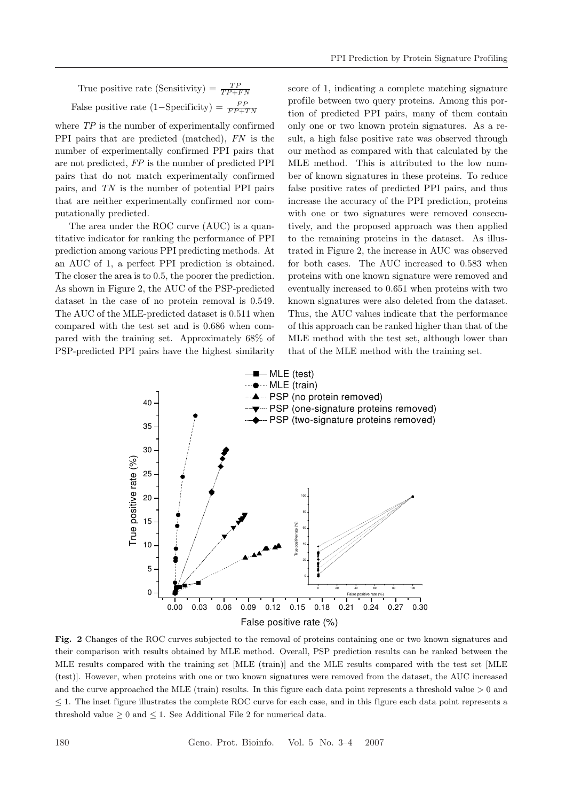True positive rate (Sensitivity) =  $\frac{TP}{TP+FN}$ False positive rate  $(1-\text{Specificity}) = \frac{FP}{FP+TN}$ 

where *TP* is the number of experimentally confirmed PPI pairs that are predicted (matched), *FN* is the number of experimentally confirmed PPI pairs that are not predicted, *FP* is the number of predicted PPI pairs that do not match experimentally confirmed pairs, and *TN* is the number of potential PPI pairs that are neither experimentally confirmed nor computationally predicted.

The area under the ROC curve (AUC) is a quantitative indicator for ranking the performance of PPI prediction among various PPI predicting methods. At an AUC of 1, a perfect PPI prediction is obtained. The closer the area is to 0.5, the poorer the prediction. As shown in Figure 2, the AUC of the PSP-predicted dataset in the case of no protein removal is 0.549. The AUC of the MLE-predicted dataset is 0.511 when compared with the test set and is 0.686 when compared with the training set. Approximately 68% of PSP-predicted PPI pairs have the highest similarity

score of 1, indicating a complete matching signature profile between two query proteins. Among this portion of predicted PPI pairs, many of them contain only one or two known protein signatures. As a result, a high false positive rate was observed through our method as compared with that calculated by the MLE method. This is attributed to the low number of known signatures in these proteins. To reduce false positive rates of predicted PPI pairs, and thus increase the accuracy of the PPI prediction, proteins with one or two signatures were removed consecutively, and the proposed approach was then applied to the remaining proteins in the dataset. As illustrated in Figure 2, the increase in AUC was observed for both cases. The AUC increased to 0.583 when proteins with one known signature were removed and eventually increased to 0.651 when proteins with two known signatures were also deleted from the dataset. Thus, the AUC values indicate that the performance of this approach can be ranked higher than that of the MLE method with the test set, although lower than that of the MLE method with the training set.



**Fig. 2** Changes of the ROC curves subjected to the removal of proteins containing one or two known signatures and their comparison with results obtained by MLE method. Overall, PSP prediction results can be ranked between the MLE results compared with the training set [MLE (train)] and the MLE results compared with the test set [MLE (test)]. However, when proteins with one or two known signatures were removed from the dataset, the AUC increased and the curve approached the MLE (train) results. In this figure each data point represents a threshold value  $> 0$  and  $\leq$  1. The inset figure illustrates the complete ROC curve for each case, and in this figure each data point represents a threshold value  $\geq 0$  and  $\leq 1$ . See Additional File 2 for numerical data.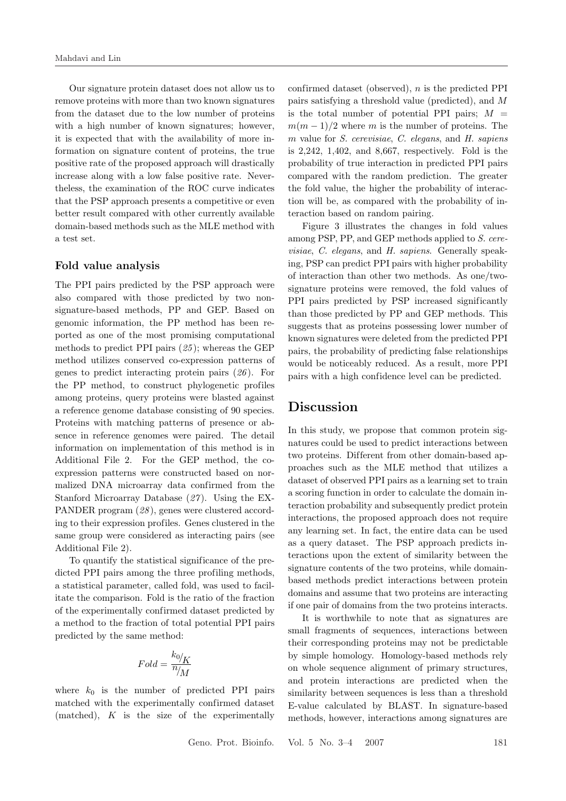Our signature protein dataset does not allow us to remove proteins with more than two known signatures from the dataset due to the low number of proteins with a high number of known signatures; however, it is expected that with the availability of more information on signature content of proteins, the true positive rate of the proposed approach will drastically increase along with a low false positive rate. Nevertheless, the examination of the ROC curve indicates that the PSP approach presents a competitive or even better result compared with other currently available domain-based methods such as the MLE method with a test set.

#### **Fold value analysis**

The PPI pairs predicted by the PSP approach were also compared with those predicted by two nonsignature-based methods, PP and GEP. Based on genomic information, the PP method has been reported as one of the most promising computational methods to predict PPI pairs (*25* ); whereas the GEP method utilizes conserved co-expression patterns of genes to predict interacting protein pairs (*26* ). For the PP method, to construct phylogenetic profiles among proteins, query proteins were blasted against a reference genome database consisting of 90 species. Proteins with matching patterns of presence or absence in reference genomes were paired. The detail information on implementation of this method is in Additional File 2. For the GEP method, the coexpression patterns were constructed based on normalized DNA microarray data confirmed from the Stanford Microarray Database (*27* ). Using the EX-PANDER program (*28* ), genes were clustered according to their expression profiles. Genes clustered in the same group were considered as interacting pairs (see Additional File 2).

To quantify the statistical significance of the predicted PPI pairs among the three profiling methods, a statistical parameter, called fold, was used to facilitate the comparison. Fold is the ratio of the fraction of the experimentally confirmed dataset predicted by a method to the fraction of total potential PPI pairs predicted by the same method:

$$
Fold = \frac{k_0}{N/M}
$$

where  $k_0$  is the number of predicted PPI pairs matched with the experimentally confirmed dataset (matched), *K* is the size of the experimentally

confirmed dataset (observed), *n* is the predicted PPI pairs satisfying a threshold value (predicted), and *M* is the total number of potential PPI pairs;  $M =$  $m(m-1)/2$  where *m* is the number of proteins. The *m* value for *S. cerevisiae*, *C. elegans*, and *H. sapiens* is 2,242, 1,402, and 8,667, respectively. Fold is the probability of true interaction in predicted PPI pairs compared with the random prediction. The greater the fold value, the higher the probability of interaction will be, as compared with the probability of interaction based on random pairing.

Figure 3 illustrates the changes in fold values among PSP, PP, and GEP methods applied to *S. cerevisiae*, *C. elegans*, and *H. sapiens*. Generally speaking, PSP can predict PPI pairs with higher probability of interaction than other two methods. As one/twosignature proteins were removed, the fold values of PPI pairs predicted by PSP increased significantly than those predicted by PP and GEP methods. This suggests that as proteins possessing lower number of known signatures were deleted from the predicted PPI pairs, the probability of predicting false relationships would be noticeably reduced. As a result, more PPI pairs with a high confidence level can be predicted.

## **Discussion**

In this study, we propose that common protein signatures could be used to predict interactions between two proteins. Different from other domain-based approaches such as the MLE method that utilizes a dataset of observed PPI pairs as a learning set to train a scoring function in order to calculate the domain interaction probability and subsequently predict protein interactions, the proposed approach does not require any learning set. In fact, the entire data can be used as a query dataset. The PSP approach predicts interactions upon the extent of similarity between the signature contents of the two proteins, while domainbased methods predict interactions between protein domains and assume that two proteins are interacting if one pair of domains from the two proteins interacts.

It is worthwhile to note that as signatures are small fragments of sequences, interactions between their corresponding proteins may not be predictable by simple homology. Homology-based methods rely on whole sequence alignment of primary structures, and protein interactions are predicted when the similarity between sequences is less than a threshold E-value calculated by BLAST. In signature-based methods, however, interactions among signatures are

Geno. Prot. Bioinfo. Vol. 5 No. 3–4 2007 181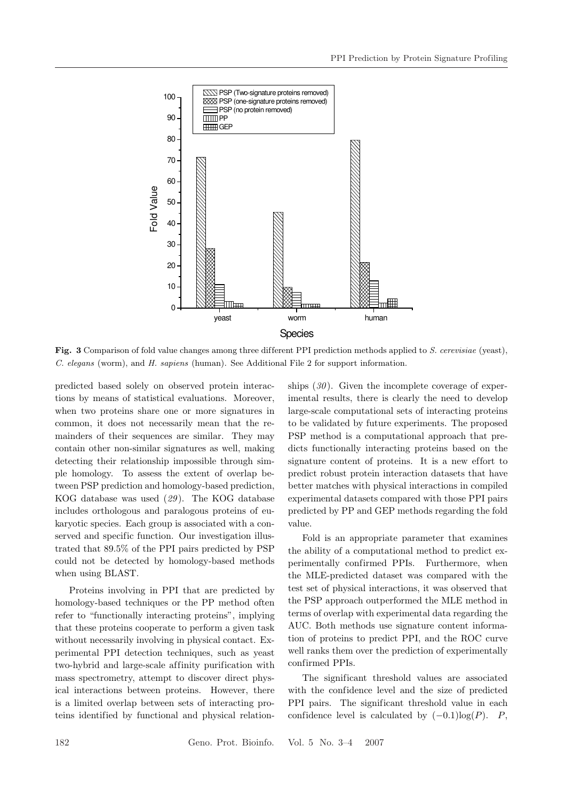

**Fig. 3** Comparison of fold value changes among three different PPI prediction methods applied to *S. cerevisiae* (yeast), *C. elegans* (worm), and *H. sapiens* (human). See Additional File 2 for support information.

predicted based solely on observed protein interactions by means of statistical evaluations. Moreover, when two proteins share one or more signatures in common, it does not necessarily mean that the remainders of their sequences are similar. They may contain other non-similar signatures as well, making detecting their relationship impossible through simple homology. To assess the extent of overlap between PSP prediction and homology-based prediction, KOG database was used (*29* ). The KOG database includes orthologous and paralogous proteins of eukaryotic species. Each group is associated with a conserved and specific function. Our investigation illustrated that 89.5% of the PPI pairs predicted by PSP could not be detected by homology-based methods when using BLAST.

Proteins involving in PPI that are predicted by homology-based techniques or the PP method often refer to "functionally interacting proteins", implying that these proteins cooperate to perform a given task without necessarily involving in physical contact. Experimental PPI detection techniques, such as yeast two-hybrid and large-scale affinity purification with mass spectrometry, attempt to discover direct physical interactions between proteins. However, there is a limited overlap between sets of interacting proteins identified by functional and physical relationships (30). Given the incomplete coverage of experimental results, there is clearly the need to develop large-scale computational sets of interacting proteins to be validated by future experiments. The proposed PSP method is a computational approach that predicts functionally interacting proteins based on the signature content of proteins. It is a new effort to predict robust protein interaction datasets that have better matches with physical interactions in compiled experimental datasets compared with those PPI pairs predicted by PP and GEP methods regarding the fold value.

Fold is an appropriate parameter that examines the ability of a computational method to predict experimentally confirmed PPIs. Furthermore, when the MLE-predicted dataset was compared with the test set of physical interactions, it was observed that the PSP approach outperformed the MLE method in terms of overlap with experimental data regarding the AUC. Both methods use signature content information of proteins to predict PPI, and the ROC curve well ranks them over the prediction of experimentally confirmed PPIs.

The significant threshold values are associated with the confidence level and the size of predicted PPI pairs. The significant threshold value in each confidence level is calculated by  $(-0.1)\log(P)$ . *P*,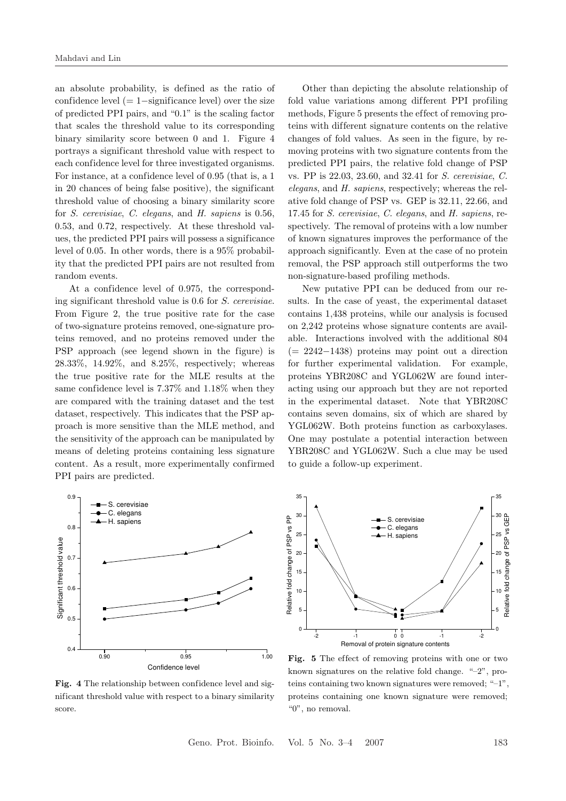an absolute probability, is defined as the ratio of confidence level  $(= 1$ -significance level) over the size of predicted PPI pairs, and "0.1" is the scaling factor that scales the threshold value to its corresponding binary similarity score between 0 and 1. Figure 4 portrays a significant threshold value with respect to each confidence level for three investigated organisms. For instance, at a confidence level of 0.95 (that is, a 1 in 20 chances of being false positive), the significant threshold value of choosing a binary similarity score for *S. cerevisiae*, *C. elegans*, and *H. sapiens* is 0.56, 0.53, and 0.72, respectively. At these threshold values, the predicted PPI pairs will possess a significance level of 0.05. In other words, there is a 95% probability that the predicted PPI pairs are not resulted from random events.

At a confidence level of 0.975, the corresponding significant threshold value is 0.6 for *S. cerevisiae*. From Figure 2, the true positive rate for the case of two-signature proteins removed, one-signature proteins removed, and no proteins removed under the PSP approach (see legend shown in the figure) is 28.33%, 14.92%, and 8.25%, respectively; whereas the true positive rate for the MLE results at the same confidence level is 7.37% and 1.18% when they are compared with the training dataset and the test dataset, respectively. This indicates that the PSP approach is more sensitive than the MLE method, and the sensitivity of the approach can be manipulated by means of deleting proteins containing less signature content. As a result, more experimentally confirmed PPI pairs are predicted.



**Fig. 4** The relationship between confidence level and significant threshold value with respect to a binary similarity score.

Other than depicting the absolute relationship of fold value variations among different PPI profiling methods, Figure 5 presents the ef fect of removing proteins with dif ferent signature contents on the relative changes of fold values. As seen in the figure, by removing proteins with two signature contents from the predicted PPI pairs, the relative fold change of PSP vs. PP is 22.03, 23.60, and 32.41 for *S. cerevisiae*, *C. elegans*, and *H. sapiens*, respectively; whereas the relative fold change of PSP vs. GEP is 32.11, 22.66, and 17.45 for *S. cerevisiae*, *C. elegans*, and *H. sapiens*, respectively. The removal of proteins with a low number of known signatures improves the performance of the approach significantly. Even at the case of no protein removal, the PSP approach still outperforms the two non-signature-based profiling methods.

New putative PPI can be deduced from our results. In the case of yeast, the experimental dataset contains 1,438 proteins, while our analysis is focused on 2,242 proteins whose signature contents are available. Interactions involved with the additional 804 (= 2242−1438) proteins may point out a direction for further experimental validation. For example, proteins YBR208C and YGL062W are found interacting using our approach but they are not reported in the experimental dataset. Note that YBR208C contains seven domains, six of which are shared by YGL062W. Both proteins function as carboxylases. One may postulate a potential interaction between YBR208C and YGL062W. Such a clue may be used to guide a follow-up experiment.



**Fig. 5** The effect of removing proteins with one or two known signatures on the relative fold change. "–2", proteins containing two known signatures were removed; "–1", proteins containing one known signature were removed; "0", no removal.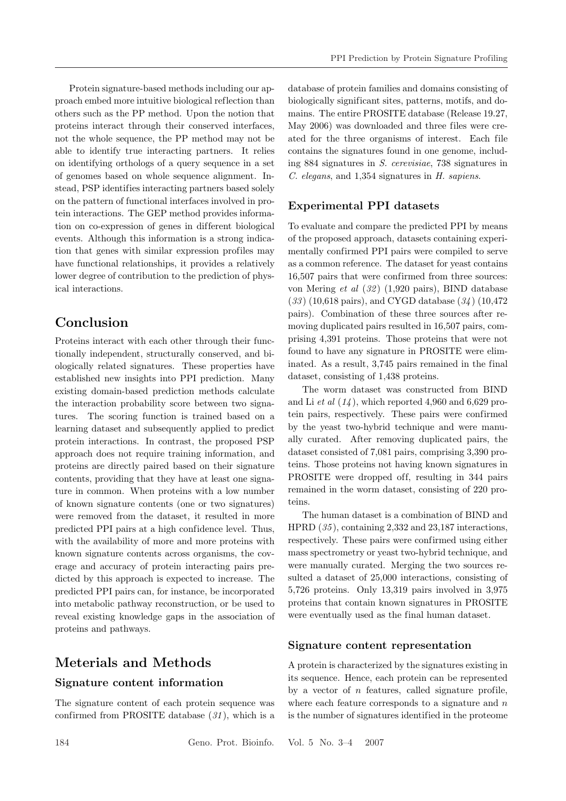Protein signature-based methods including our approach embed more intuitive biological reflection than others such as the PP method. Upon the notion that proteins interact through their conserved interfaces, not the whole sequence, the PP method may not be able to identify true interacting partners. It relies on identifying orthologs of a query sequence in a set of genomes based on whole sequence alignment. Instead, PSP identifies interacting partners based solely on the pattern of functional interfaces involved in protein interactions. The GEP method provides information on co-expression of genes in different biological events. Although this information is a strong indication that genes with similar expression profiles may have functional relationships, it provides a relatively lower degree of contribution to the prediction of physical interactions.

## **Conclusion**

Proteins interact with each other through their functionally independent, structurally conserved, and biologically related signatures. These properties have established new insights into PPI prediction. Many existing domain-based prediction methods calculate the interaction probability score between two signatures. The scoring function is trained based on a learning dataset and subsequently applied to predict protein interactions. In contrast, the proposed PSP approach does not require training information, and proteins are directly paired based on their signature contents, providing that they have at least one signature in common. When proteins with a low number of known signature contents (one or two signatures) were removed from the dataset, it resulted in more predicted PPI pairs at a high confidence level. Thus, with the availability of more and more proteins with known signature contents across organisms, the coverage and accuracy of protein interacting pairs predicted by this approach is expected to increase. The predicted PPI pairs can, for instance, be incorporated into metabolic pathway reconstruction, or be used to reveal existing knowledge gaps in the association of proteins and pathways.

## **Meterials and Methods**

### **Signature content information**

The signature content of each protein sequence was confirmed from PROSITE database (*31* ), which is a

database of protein families and domains consisting of biologically significant sites, patterns, motifs, and domains. The entire PROSITE database (Release 19.27, May 2006) was downloaded and three files were created for the three organisms of interest. Each file contains the signatures found in one genome, including 884 signatures in *S. cerevisiae*, 738 signatures in *C. elegans*, and 1,354 signatures in *H. sapiens*.

### **Experimental PPI datasets**

To evaluate and compare the predicted PPI by means of the proposed approach, datasets containing experimentally confirmed PPI pairs were compiled to serve as a common reference. The dataset for yeast contains 16,507 pairs that were confirmed from three sources: von Mering *et al* (*32* ) (1,920 pairs), BIND database (*33* ) (10,618 pairs), and CYGD database (*34* ) (10,472 pairs). Combination of these three sources after removing duplicated pairs resulted in 16,507 pairs, comprising 4,391 proteins. Those proteins that were not found to have any signature in PROSITE were eliminated. As a result, 3,745 pairs remained in the final dataset, consisting of 1,438 proteins.

The worm dataset was constructed from BIND and Li *et al* (*14* ), which reported 4,960 and 6,629 protein pairs, respectively. These pairs were confirmed by the yeast two-hybrid technique and were manually curated. After removing duplicated pairs, the dataset consisted of 7,081 pairs, comprising 3,390 proteins. Those proteins not having known signatures in PROSITE were dropped off, resulting in 344 pairs remained in the worm dataset, consisting of 220 proteins.

The human dataset is a combination of BIND and HPRD (*35* ), containing 2,332 and 23,187 interactions, respectively. These pairs were confirmed using either mass spectrometry or yeast two-hybrid technique, and were manually curated. Merging the two sources resulted a dataset of 25,000 interactions, consisting of 5,726 proteins. Only 13,319 pairs involved in 3,975 proteins that contain known signatures in PROSITE were eventually used as the final human dataset.

### **Signature content representation**

A protein is characterized by the signatures existing in its sequence. Hence, each protein can be represented by a vector of *n* features, called signature profile, where each feature corresponds to a signature and *n* is the number of signatures identified in the proteome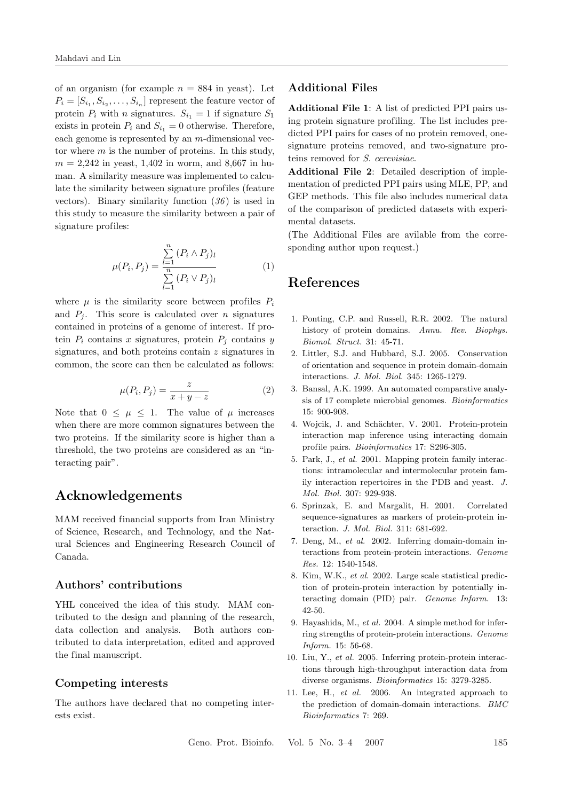of an organism (for example  $n = 884$  in yeast). Let  $P_i = [S_{i_1}, S_{i_2}, \ldots, S_{i_n}]$  represent the feature vector of protein  $P_i$  with *n* signatures.  $S_{i_1} = 1$  if signature  $S_1$ exists in protein  $P_i$  and  $S_{i_1} = 0$  otherwise. Therefore, each genome is represented by an *m*-dimensional vector where *m* is the number of proteins. In this study,  $m = 2,242$  in yeast, 1,402 in worm, and 8,667 in human. A similarity measure was implemented to calculate the similarity between signature profiles (feature vectors). Binary similarity function (*36* ) is used in this study to measure the similarity between a pair of signature profiles:

$$
\mu(P_i, P_j) = \frac{\sum_{l=1}^{n} (P_i \wedge P_j)_l}{\sum_{l=1}^{n} (P_i \vee P_j)_l}
$$
\n(1)

where  $\mu$  is the similarity score between profiles  $P_i$ and  $P_i$ . This score is calculated over *n* signatures contained in proteins of a genome of interest. If protein  $P_i$  contains *x* signatures, protein  $P_j$  contains *y* signatures, and both proteins contain *z* signatures in common, the score can then be calculated as follows:

$$
\mu(P_i, P_j) = \frac{z}{x + y - z} \tag{2}
$$

Note that  $0 \leq \mu \leq 1$ . The value of  $\mu$  increases when there are more common signatures between the two proteins. If the similarity score is higher than a threshold, the two proteins are considered as an "interacting pair".

## **Acknowledgements**

MAM received financial supports from Iran Ministry of Science, Research, and Technology, and the Natural Sciences and Engineering Research Council of Canada.

### **Authors' contributions**

YHL conceived the idea of this study. MAM contributed to the design and planning of the research, data collection and analysis. Both authors contributed to data interpretation, edited and approved the final manuscript.

### **Competing interests**

The authors have declared that no competing interests exist.

### **Additional Files**

**Additional File 1**: A list of predicted PPI pairs using protein signature profiling. The list includes predicted PPI pairs for cases of no protein removed, onesignature proteins removed, and two-signature proteins removed for *S. cerevisiae*.

**Additional File 2**: Detailed description of implementation of predicted PPI pairs using MLE, PP, and GEP methods. This file also includes numerical data of the comparison of predicted datasets with experimental datasets.

(The Additional Files are avilable from the corresponding author upon request.)

## **References**

- 1. Ponting, C.P. and Russell, R.R. 2002. The natural history of protein domains. *Annu. Rev. Biophys. Biomol. Struct.* 31: 45-71.
- 2. Littler, S.J. and Hubbard, S.J. 2005. Conservation of orientation and sequence in protein domain-domain interactions. *J. Mol. Biol.* 345: 1265-1279.
- 3. Bansal, A.K. 1999. An automated comparative analysis of 17 complete microbial genomes. *Bioinformatics* 15: 900-908.
- 4. Wojcik, J. and Schächter, V. 2001. Protein-protein interaction map inference using interacting domain profile pairs. *Bioinformatics* 17: S296-305.
- 5. Park, J., *et al.* 2001. Mapping protein family interactions: intramolecular and intermolecular protein family interaction repertoires in the PDB and yeast. *J. Mol. Biol.* 307: 929-938.
- 6. Sprinzak, E. and Margalit, H. 2001. Correlated sequence-signatures as markers of protein-protein interaction. *J. Mol. Biol.* 311: 681-692.
- 7. Deng, M., *et al.* 2002. Inferring domain-domain interactions from protein-protein interactions. *Genome Res.* 12: 1540-1548.
- 8. Kim, W.K., *et al.* 2002. Large scale statistical prediction of protein-protein interaction by potentially interacting domain (PID) pair. *Genome Inform.* 13: 42-50.
- 9. Hayashida, M., *et al.* 2004. A simple method for inferring strengths of protein-protein interactions. *Genome Inform.* 15: 56-68.
- 10. Liu, Y., *et al.* 2005. Inferring protein-protein interactions through high-throughput interaction data from diverse organisms. *Bioinformatics* 15: 3279-3285.
- 11. Lee, H., *et al.* 2006. An integrated approach to the prediction of domain-domain interactions. *BMC Bioinformatics* 7: 269.

Geno. Prot. Bioinfo. Vol. 5 No. 3–4 2007 185